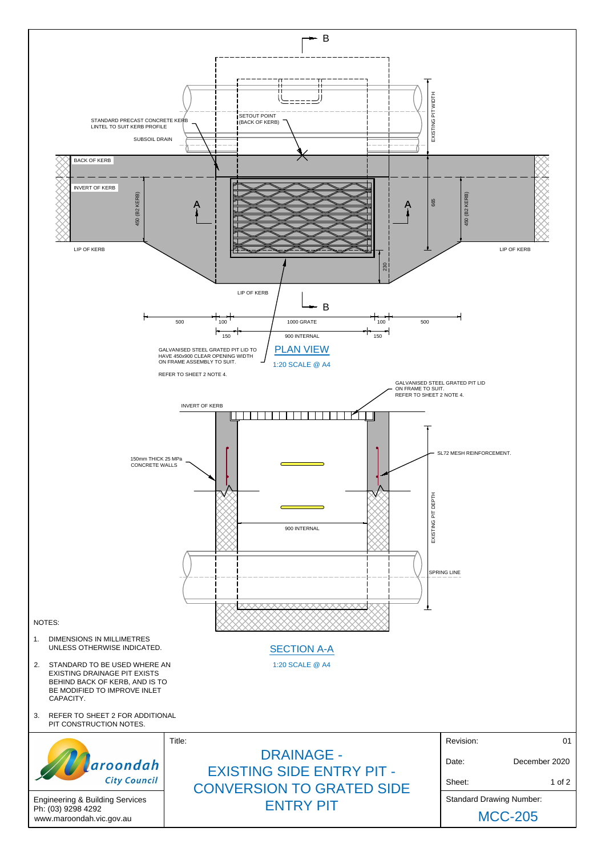